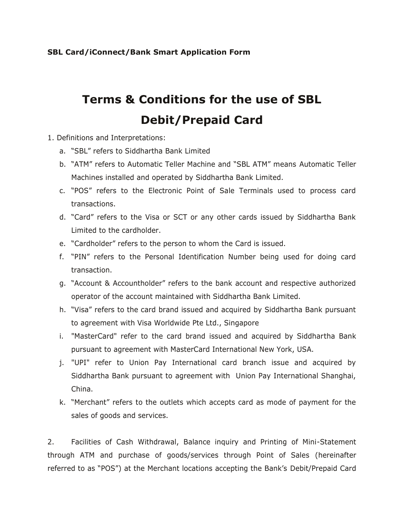## **SBL Card/iConnect/Bank Smart Application Form**

## **Terms & Conditions for the use of SBL Debit/Prepaid Card**

- 1. Definitions and Interpretations:
	- a. "SBL" refers to Siddhartha Bank Limited
	- b. "ATM" refers to Automatic Teller Machine and "SBL ATM" means Automatic Teller Machines installed and operated by Siddhartha Bank Limited.
	- c. "POS" refers to the Electronic Point of Sale Terminals used to process card transactions.
	- d. "Card" refers to the Visa or SCT or any other cards issued by Siddhartha Bank Limited to the cardholder.
	- e. "Cardholder" refers to the person to whom the Card is issued.
	- f. "PIN" refers to the Personal Identification Number being used for doing card transaction.
	- g. "Account & Accountholder" refers to the bank account and respective authorized operator of the account maintained with Siddhartha Bank Limited.
	- h. "Visa" refers to the card brand issued and acquired by Siddhartha Bank pursuant to agreement with Visa Worldwide Pte Ltd., Singapore
	- i. "MasterCard" refer to the card brand issued and acquired by Siddhartha Bank pursuant to agreement with MasterCard International New York, USA.
	- j. "UPI" refer to Union Pay International card branch issue and acquired by Siddhartha Bank pursuant to agreement with Union Pay International Shanghai, China.
	- k. "Merchant" refers to the outlets which accepts card as mode of payment for the sales of goods and services.

2. Facilities of Cash Withdrawal, Balance inquiry and Printing of Mini-Statement through ATM and purchase of goods/services through Point of Sales (hereinafter referred to as "POS") at the Merchant locations accepting the Bank's Debit/Prepaid Card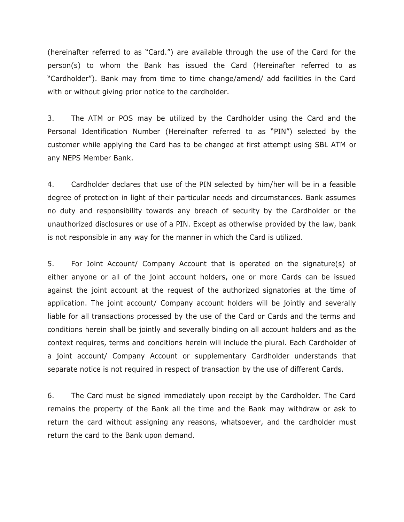(hereinafter referred to as "Card.") are available through the use of the Card for the person(s) to whom the Bank has issued the Card (Hereinafter referred to as "Cardholder"). Bank may from time to time change/amend/ add facilities in the Card with or without giving prior notice to the cardholder.

3. The ATM or POS may be utilized by the Cardholder using the Card and the Personal Identification Number (Hereinafter referred to as "PIN") selected by the customer while applying the Card has to be changed at first attempt using SBL ATM or any NEPS Member Bank.

4. Cardholder declares that use of the PIN selected by him/her will be in a feasible degree of protection in light of their particular needs and circumstances. Bank assumes no duty and responsibility towards any breach of security by the Cardholder or the unauthorized disclosures or use of a PIN. Except as otherwise provided by the law, bank is not responsible in any way for the manner in which the Card is utilized.

5. For Joint Account/ Company Account that is operated on the signature(s) of either anyone or all of the joint account holders, one or more Cards can be issued against the joint account at the request of the authorized signatories at the time of application. The joint account/ Company account holders will be jointly and severally liable for all transactions processed by the use of the Card or Cards and the terms and conditions herein shall be jointly and severally binding on all account holders and as the context requires, terms and conditions herein will include the plural. Each Cardholder of a joint account/ Company Account or supplementary Cardholder understands that separate notice is not required in respect of transaction by the use of different Cards.

6. The Card must be signed immediately upon receipt by the Cardholder. The Card remains the property of the Bank all the time and the Bank may withdraw or ask to return the card without assigning any reasons, whatsoever, and the cardholder must return the card to the Bank upon demand.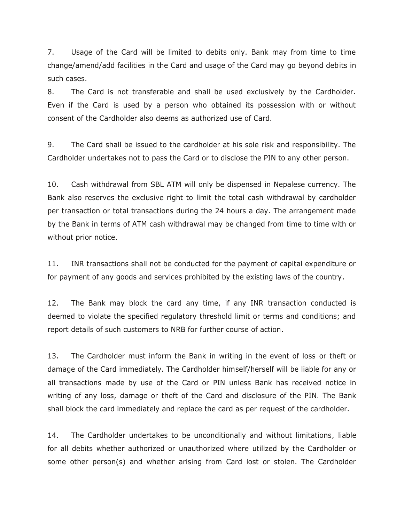7. Usage of the Card will be limited to debits only. Bank may from time to time change/amend/add facilities in the Card and usage of the Card may go beyond debits in such cases.

8. The Card is not transferable and shall be used exclusively by the Cardholder. Even if the Card is used by a person who obtained its possession with or without consent of the Cardholder also deems as authorized use of Card.

9. The Card shall be issued to the cardholder at his sole risk and responsibility. The Cardholder undertakes not to pass the Card or to disclose the PIN to any other person.

10. Cash withdrawal from SBL ATM will only be dispensed in Nepalese currency. The Bank also reserves the exclusive right to limit the total cash withdrawal by cardholder per transaction or total transactions during the 24 hours a day. The arrangement made by the Bank in terms of ATM cash withdrawal may be changed from time to time with or without prior notice.

11. INR transactions shall not be conducted for the payment of capital expenditure or for payment of any goods and services prohibited by the existing laws of the country.

12. The Bank may block the card any time, if any INR transaction conducted is deemed to violate the specified regulatory threshold limit or terms and conditions; and report details of such customers to NRB for further course of action.

13. The Cardholder must inform the Bank in writing in the event of loss or theft or damage of the Card immediately. The Cardholder himself/herself will be liable for any or all transactions made by use of the Card or PIN unless Bank has received notice in writing of any loss, damage or theft of the Card and disclosure of the PIN. The Bank shall block the card immediately and replace the card as per request of the cardholder.

14. The Cardholder undertakes to be unconditionally and without limitations, liable for all debits whether authorized or unauthorized where utilized by the Cardholder or some other person(s) and whether arising from Card lost or stolen. The Cardholder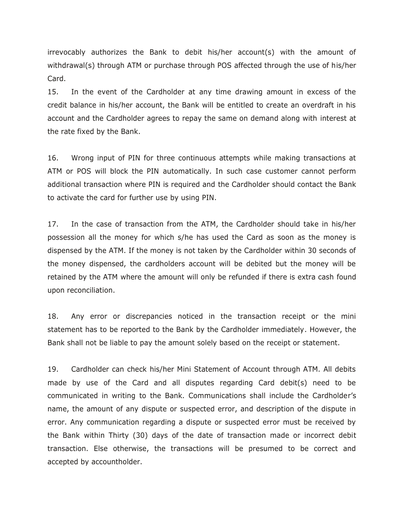irrevocably authorizes the Bank to debit his/her account(s) with the amount of withdrawal(s) through ATM or purchase through POS affected through the use of his/her Card.

15. In the event of the Cardholder at any time drawing amount in excess of the credit balance in his/her account, the Bank will be entitled to create an overdraft in his account and the Cardholder agrees to repay the same on demand along with interest at the rate fixed by the Bank.

16. Wrong input of PIN for three continuous attempts while making transactions at ATM or POS will block the PIN automatically. In such case customer cannot perform additional transaction where PIN is required and the Cardholder should contact the Bank to activate the card for further use by using PIN.

17. In the case of transaction from the ATM, the Cardholder should take in his/her possession all the money for which s/he has used the Card as soon as the money is dispensed by the ATM. If the money is not taken by the Cardholder within 30 seconds of the money dispensed, the cardholders account will be debited but the money will be retained by the ATM where the amount will only be refunded if there is extra cash found upon reconciliation.

18. Any error or discrepancies noticed in the transaction receipt or the mini statement has to be reported to the Bank by the Cardholder immediately. However, the Bank shall not be liable to pay the amount solely based on the receipt or statement.

19. Cardholder can check his/her Mini Statement of Account through ATM. All debits made by use of the Card and all disputes regarding Card debit(s) need to be communicated in writing to the Bank. Communications shall include the Cardholder's name, the amount of any dispute or suspected error, and description of the dispute in error. Any communication regarding a dispute or suspected error must be received by the Bank within Thirty (30) days of the date of transaction made or incorrect debit transaction. Else otherwise, the transactions will be presumed to be correct and accepted by accountholder.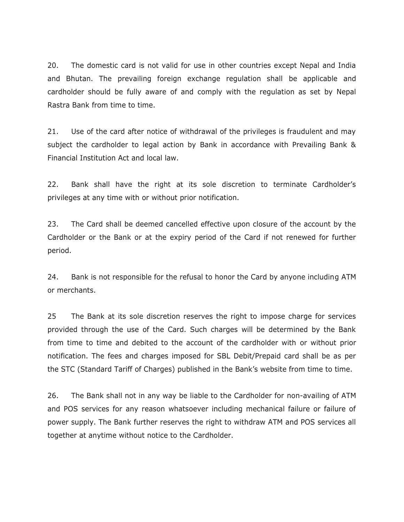20. The domestic card is not valid for use in other countries except Nepal and India and Bhutan. The prevailing foreign exchange regulation shall be applicable and cardholder should be fully aware of and comply with the regulation as set by Nepal Rastra Bank from time to time.

21. Use of the card after notice of withdrawal of the privileges is fraudulent and may subject the cardholder to legal action by Bank in accordance with Prevailing Bank & Financial Institution Act and local law.

22. Bank shall have the right at its sole discretion to terminate Cardholder's privileges at any time with or without prior notification.

23. The Card shall be deemed cancelled effective upon closure of the account by the Cardholder or the Bank or at the expiry period of the Card if not renewed for further period.

24. Bank is not responsible for the refusal to honor the Card by anyone including ATM or merchants.

25 The Bank at its sole discretion reserves the right to impose charge for services provided through the use of the Card. Such charges will be determined by the Bank from time to time and debited to the account of the cardholder with or without prior notification. The fees and charges imposed for SBL Debit/Prepaid card shall be as per the STC (Standard Tariff of Charges) published in the Bank's website from time to time.

26. The Bank shall not in any way be liable to the Cardholder for non-availing of ATM and POS services for any reason whatsoever including mechanical failure or failure of power supply. The Bank further reserves the right to withdraw ATM and POS services all together at anytime without notice to the Cardholder.